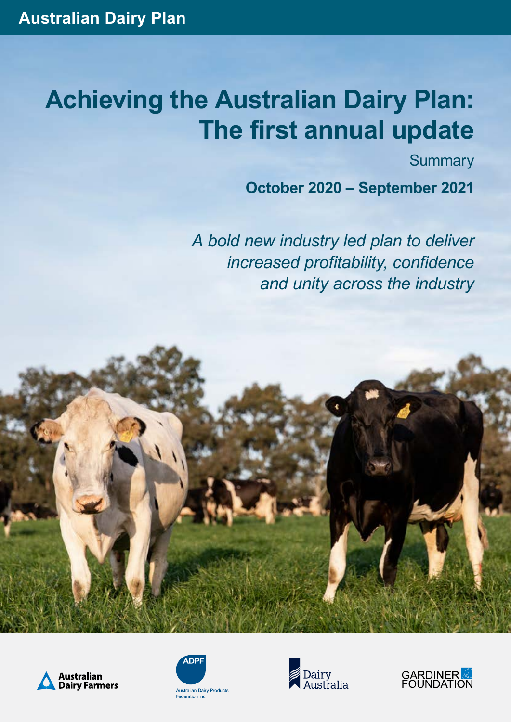# **Achieving the Australian Dairy Plan: The first annual update**

**Summary** 

**October 2020 – September 2021**

*A bold new industry led plan to deliver increased profitability, confidence and unity across the industry*







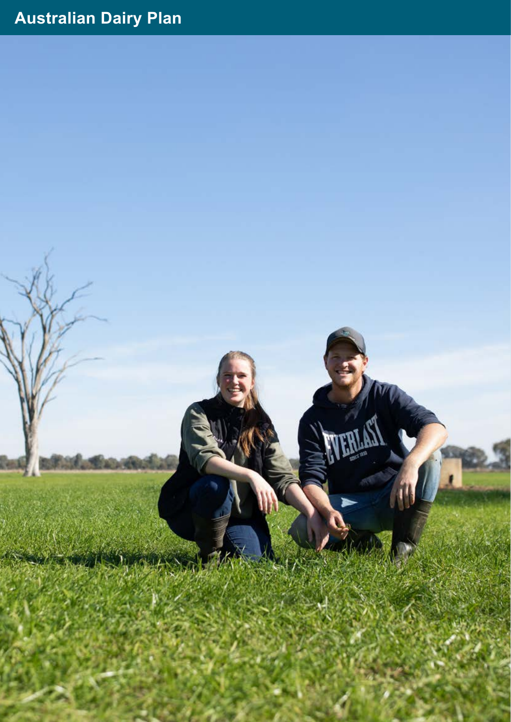## **Australian Dairy Plan**

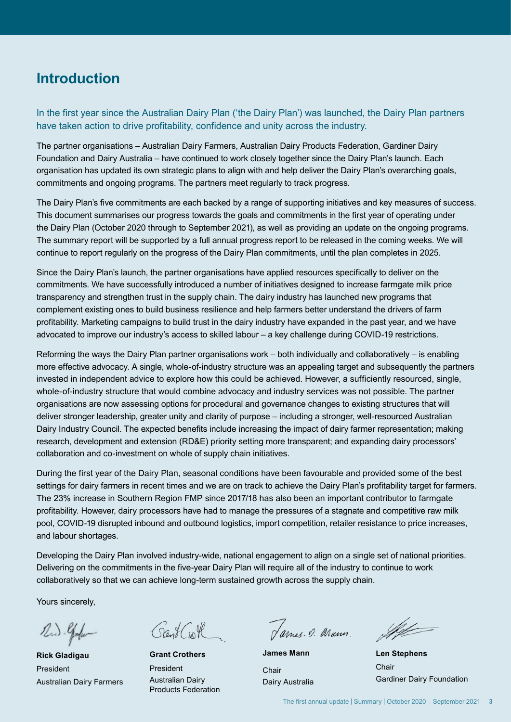### **Introduction**

In the first year since the Australian Dairy Plan ('the Dairy Plan') was launched, the Dairy Plan partners have taken action to drive profitability, confidence and unity across the industry.

The partner organisations – Australian Dairy Farmers, Australian Dairy Products Federation, Gardiner Dairy Foundation and Dairy Australia – have continued to work closely together since the Dairy Plan's launch. Each organisation has updated its own strategic plans to align with and help deliver the Dairy Plan's overarching goals, commitments and ongoing programs. The partners meet regularly to track progress.

The Dairy Plan's five commitments are each backed by a range of supporting initiatives and key measures of success. This document summarises our progress towards the goals and commitments in the first year of operating under the Dairy Plan (October 2020 through to September 2021), as well as providing an update on the ongoing programs. The summary report will be supported by a full annual progress report to be released in the coming weeks. We will continue to report regularly on the progress of the Dairy Plan commitments, until the plan completes in 2025.

Since the Dairy Plan's launch, the partner organisations have applied resources specifically to deliver on the commitments. We have successfully introduced a number of initiatives designed to increase farmgate milk price transparency and strengthen trust in the supply chain. The dairy industry has launched new programs that complement existing ones to build business resilience and help farmers better understand the drivers of farm profitability. Marketing campaigns to build trust in the dairy industry have expanded in the past year, and we have advocated to improve our industry's access to skilled labour – a key challenge during COVID-19 restrictions.

Reforming the ways the Dairy Plan partner organisations work – both individually and collaboratively – is enabling more effective advocacy. A single, whole-of-industry structure was an appealing target and subsequently the partners invested in independent advice to explore how this could be achieved. However, a sufficiently resourced, single, whole-of-industry structure that would combine advocacy and industry services was not possible. The partner organisations are now assessing options for procedural and governance changes to existing structures that will deliver stronger leadership, greater unity and clarity of purpose – including a stronger, well-resourced Australian Dairy Industry Council. The expected benefits include increasing the impact of dairy farmer representation; making research, development and extension (RD&E) priority setting more transparent; and expanding dairy processors' collaboration and co-investment on whole of supply chain initiatives.

During the first year of the Dairy Plan, seasonal conditions have been favourable and provided some of the best settings for dairy farmers in recent times and we are on track to achieve the Dairy Plan's profitability target for farmers. The 23% increase in Southern Region FMP since 2017/18 has also been an important contributor to farmgate profitability. However, dairy processors have had to manage the pressures of a stagnate and competitive raw milk pool, COVID-19 disrupted inbound and outbound logistics, import competition, retailer resistance to price increases, and labour shortages.

Developing the Dairy Plan involved industry-wide, national engagement to align on a single set of national priorities. Delivering on the commitments in the five-year Dairy Plan will require all of the industry to continue to work collaboratively so that we can achieve long-term sustained growth across the supply chain.

Yours sincerely,

R.D. Golen

**Rick Gladigau** President Australian Dairy Farmers

GentCroth

**Grant Crothers** President Australian Dairy Products Federation

Tames. D. Mann.

**James Mann** Chair Dairy Australia

Aff

**Len Stephens Chair** Gardiner Dairy Foundation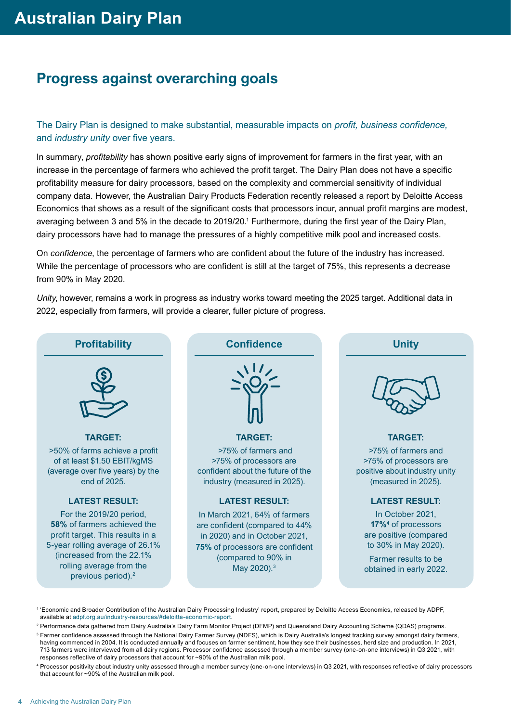### **Progress against overarching goals**

#### The Dairy Plan is designed to make substantial, measurable impacts on *profit, business confidence,* and *industry unity* over five years.

In summary, *profitability* has shown positive early signs of improvement for farmers in the first year, with an increase in the percentage of farmers who achieved the profit target. The Dairy Plan does not have a specific profitability measure for dairy processors, based on the complexity and commercial sensitivity of individual company data. However, the Australian Dairy Products Federation recently released a report by Deloitte Access Economics that shows as a result of the significant costs that processors incur, annual profit margins are modest, averaging between 3 and 5% in the decade to 2019/20.<sup>1</sup> Furthermore, during the first year of the Dairy Plan, dairy processors have had to manage the pressures of a highly competitive milk pool and increased costs.

On *confidence*, the percentage of farmers who are confident about the future of the industry has increased. While the percentage of processors who are confident is still at the target of 75%, this represents a decrease from 90% in May 2020.

*Unity*, however, remains a work in progress as industry works toward meeting the 2025 target. Additional data in 2022, especially from farmers, will provide a clearer, fuller picture of progress.

#### **Profitability TARGET:**  >50% of farms achieve a profit of at least \$1.50 EBIT/kgMS (average over five years) by the end of 2025. **LATEST RESULT:**  For the 2019/20 period, **58%** of farmers achieved the profit target. This results in a 5-year rolling average of 26.1% (increased from the 22.1% rolling average from the previous period).<sup>2</sup> **Confidence TARGET:** >75% of farmers and >75% of processors are confident about the future of the industry (measured in 2025). **LATEST RESULT:**  In March 2021, 64% of farmers are confident (compared to 44% in 2020) and in October 2021, **75%** of processors are confident (compared to 90% in May 2020).<sup>3</sup> **Unity TARGET:** >75% of farmers and >75% of processors are positive about industry unity (measured in 2025). **LATEST RESULT:**  In October 2021, **17%4** of processors are positive (compared to 30% in May 2020). Farmer results to be obtained in early 2022.

<sup>1</sup> 'Economic and Broader Contribution of the Australian Dairy Processing Industry' report, prepared by Deloitte Access Economics, released by ADPF, available at [adpf.org.au/industry-resources/#deloitte-economic-report](https://adpf.org.au/industry-resources/#deloitte-economic-report).

- <sup>2</sup> Performance data gathered from Dairy Australia's Dairy Farm Monitor Project (DFMP) and Queensland Dairy Accounting Scheme (QDAS) programs. <sup>3</sup> Farmer confidence assessed through the National Dairy Farmer Survey (NDFS), which is Dairy Australia's longest tracking survey amongst dairy farmers, having commenced in 2004. It is conducted annually and focuses on farmer sentiment, how they see their businesses, herd size and production. In 2021, 713 farmers were interviewed from all dairy regions. Processor confidence assessed through a member survey (one-on-one interviews) in Q3 2021, with responses reflective of dairy processors that account for ~90% of the Australian milk pool.
- <sup>4</sup> Processor positivity about industry unity assessed through a member survey (one-on-one interviews) in Q3 2021, with responses reflective of dairy processors that account for ~90% of the Australian milk pool.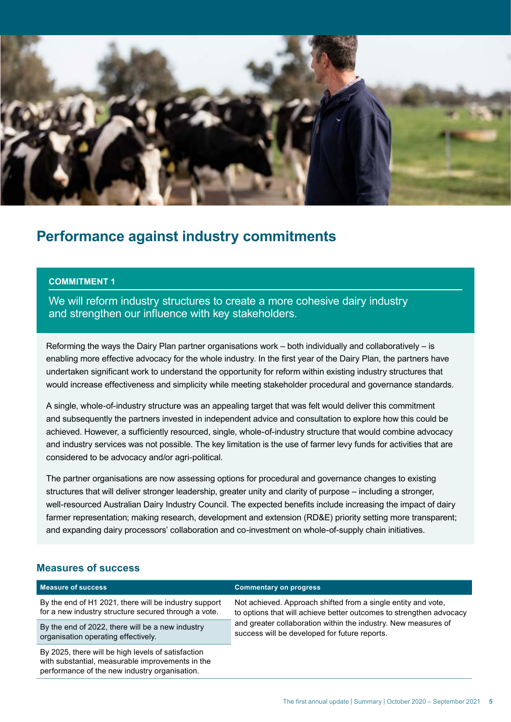

### **Performance against industry commitments**

#### **COMMITMENT 1**

We will reform industry structures to create a more cohesive dairy industry and strengthen our influence with key stakeholders.

Reforming the ways the Dairy Plan partner organisations work – both individually and collaboratively – is enabling more effective advocacy for the whole industry. In the first year of the Dairy Plan, the partners have undertaken significant work to understand the opportunity for reform within existing industry structures that would increase effectiveness and simplicity while meeting stakeholder procedural and governance standards.

A single, whole-of-industry structure was an appealing target that was felt would deliver this commitment and subsequently the partners invested in independent advice and consultation to explore how this could be achieved. However, a sufficiently resourced, single, whole-of-industry structure that would combine advocacy and industry services was not possible. The key limitation is the use of farmer levy funds for activities that are considered to be advocacy and/or agri-political.

The partner organisations are now assessing options for procedural and governance changes to existing structures that will deliver stronger leadership, greater unity and clarity of purpose – including a stronger, well-resourced Australian Dairy Industry Council. The expected benefits include increasing the impact of dairy farmer representation; making research, development and extension (RD&E) priority setting more transparent; and expanding dairy processors' collaboration and co-investment on whole-of-supply chain initiatives.

#### **Measures of success**

By the end of H1 2021, there will be industry support for a new industry structure secured through a vote.

organisation operating effectively.

By 2025, there will be high levels of satisfaction with substantial, measurable improvements in the performance of the new industry organisation.

#### **Measure of success Commentary on progress**

Not achieved. Approach shifted from a single entity and vote, to options that will achieve better outcomes to strengthen advocacy and greater collaboration within the industry. New measures of By the end of 2022, there will be a new industry<br>success will be developed for future reports.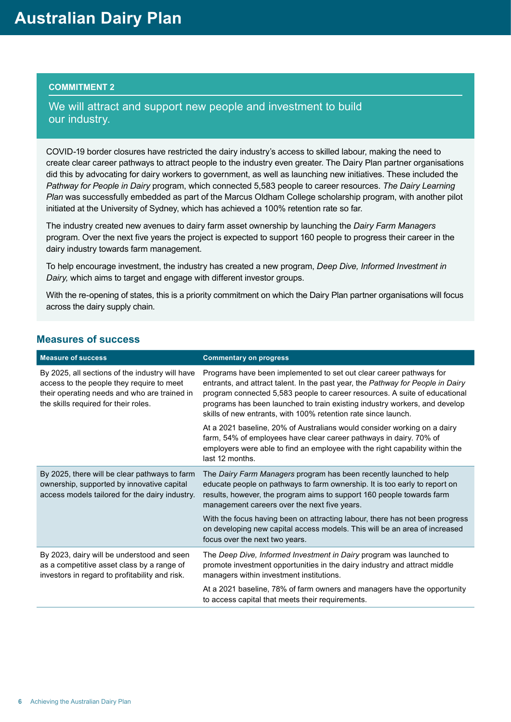### We will attract and support new people and investment to build our industry.

COVID-19 border closures have restricted the dairy industry's access to skilled labour, making the need to create clear career pathways to attract people to the industry even greater. The Dairy Plan partner organisations did this by advocating for dairy workers to government, as well as launching new initiatives. These included the *Pathway for People in Dairy* program, which connected 5,583 people to career resources. *The Dairy Learning Plan* was successfully embedded as part of the Marcus Oldham College scholarship program, with another pilot initiated at the University of Sydney, which has achieved a 100% retention rate so far.

The industry created new avenues to dairy farm asset ownership by launching the *Dairy Farm Managers*  program. Over the next five years the project is expected to support 160 people to progress their career in the dairy industry towards farm management.

To help encourage investment, the industry has created a new program, *Deep Dive, Informed Investment in Dairy,* which aims to target and engage with different investor groups.

With the re-opening of states, this is a priority commitment on which the Dairy Plan partner organisations will focus across the dairy supply chain.

| <b>Measure of success</b>                                                                                                                                                            | <b>Commentary on progress</b>                                                                                                                                                                                                                                                                                                                                                        |
|--------------------------------------------------------------------------------------------------------------------------------------------------------------------------------------|--------------------------------------------------------------------------------------------------------------------------------------------------------------------------------------------------------------------------------------------------------------------------------------------------------------------------------------------------------------------------------------|
| By 2025, all sections of the industry will have<br>access to the people they require to meet<br>their operating needs and who are trained in<br>the skills required for their roles. | Programs have been implemented to set out clear career pathways for<br>entrants, and attract talent. In the past year, the Pathway for People in Dairy<br>program connected 5,583 people to career resources. A suite of educational<br>programs has been launched to train existing industry workers, and develop<br>skills of new entrants, with 100% retention rate since launch. |
|                                                                                                                                                                                      | At a 2021 baseline, 20% of Australians would consider working on a dairy<br>farm, 54% of employees have clear career pathways in dairy. 70% of<br>employers were able to find an employee with the right capability within the<br>last 12 months.                                                                                                                                    |
| By 2025, there will be clear pathways to farm<br>ownership, supported by innovative capital<br>access models tailored for the dairy industry.                                        | The Dairy Farm Managers program has been recently launched to help<br>educate people on pathways to farm ownership. It is too early to report on<br>results, however, the program aims to support 160 people towards farm<br>management careers over the next five years.                                                                                                            |
|                                                                                                                                                                                      | With the focus having been on attracting labour, there has not been progress<br>on developing new capital access models. This will be an area of increased<br>focus over the next two years.                                                                                                                                                                                         |
| By 2023, dairy will be understood and seen<br>as a competitive asset class by a range of<br>investors in regard to profitability and risk.                                           | The Deep Dive, Informed Investment in Dairy program was launched to<br>promote investment opportunities in the dairy industry and attract middle<br>managers within investment institutions.                                                                                                                                                                                         |
|                                                                                                                                                                                      | At a 2021 baseline, 78% of farm owners and managers have the opportunity<br>to access capital that meets their requirements.                                                                                                                                                                                                                                                         |

#### **Measures of success**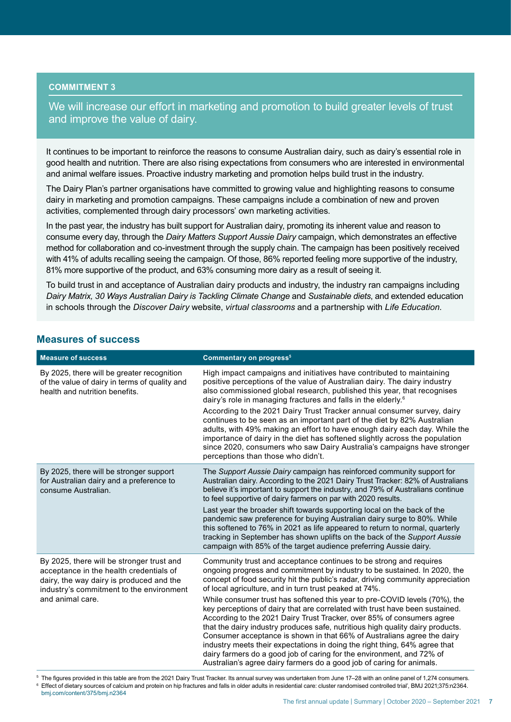### We will increase our effort in marketing and promotion to build greater levels of trust and improve the value of dairy.

It continues to be important to reinforce the reasons to consume Australian dairy, such as dairy's essential role in good health and nutrition. There are also rising expectations from consumers who are interested in environmental and animal welfare issues. Proactive industry marketing and promotion helps build trust in the industry.

The Dairy Plan's partner organisations have committed to growing value and highlighting reasons to consume dairy in marketing and promotion campaigns. These campaigns include a combination of new and proven activities, complemented through dairy processors' own marketing activities.

In the past year, the industry has built support for Australian dairy, promoting its inherent value and reason to consume every day, through the *Dairy Matters Support Aussie Dairy* campaign, which demonstrates an effective method for collaboration and co-investment through the supply chain. The campaign has been positively received with 41% of adults recalling seeing the campaign. Of those, 86% reported feeling more supportive of the industry, 81% more supportive of the product, and 63% consuming more dairy as a result of seeing it.

To build trust in and acceptance of Australian dairy products and industry, the industry ran campaigns including *Dairy Matrix, 30 Ways Australian Dairy is Tackling Climate Change* and *Sustainable diets*, and extended education in schools through the *Discover Dairy* website, *virtual classrooms* and a partnership with *Life Education*.

#### **Measures of success**

| <b>Measure of success</b>                                                                                                                                                                        | <b>Commentary on progress<sup>5</sup></b>                                                                                                                                                                                                                                                                                                                                                                                                                                                                                                                                                                                                                                                                                                                                                                                                                                                                                         |
|--------------------------------------------------------------------------------------------------------------------------------------------------------------------------------------------------|-----------------------------------------------------------------------------------------------------------------------------------------------------------------------------------------------------------------------------------------------------------------------------------------------------------------------------------------------------------------------------------------------------------------------------------------------------------------------------------------------------------------------------------------------------------------------------------------------------------------------------------------------------------------------------------------------------------------------------------------------------------------------------------------------------------------------------------------------------------------------------------------------------------------------------------|
| By 2025, there will be greater recognition<br>of the value of dairy in terms of quality and<br>health and nutrition benefits.                                                                    | High impact campaigns and initiatives have contributed to maintaining<br>positive perceptions of the value of Australian dairy. The dairy industry<br>also commissioned global research, published this year, that recognises<br>dairy's role in managing fractures and falls in the elderly. <sup>6</sup><br>According to the 2021 Dairy Trust Tracker annual consumer survey, dairy<br>continues to be seen as an important part of the diet by 82% Australian<br>adults, with 49% making an effort to have enough dairy each day. While the<br>importance of dairy in the diet has softened slightly across the population<br>since 2020, consumers who saw Dairy Australia's campaigns have stronger<br>perceptions than those who didn't.                                                                                                                                                                                    |
| By 2025, there will be stronger support<br>for Australian dairy and a preference to<br>consume Australian.                                                                                       | The Support Aussie Dairy campaign has reinforced community support for<br>Australian dairy. According to the 2021 Dairy Trust Tracker: 82% of Australians<br>believe it's important to support the industry, and 79% of Australians continue<br>to feel supportive of dairy farmers on par with 2020 results.<br>Last year the broader shift towards supporting local on the back of the<br>pandemic saw preference for buying Australian dairy surge to 80%. While<br>this softened to 76% in 2021 as life appeared to return to normal, quarterly<br>tracking in September has shown uplifts on the back of the Support Aussie<br>campaign with 85% of the target audience preferring Aussie dairy.                                                                                                                                                                                                                             |
| By 2025, there will be stronger trust and<br>acceptance in the health credentials of<br>dairy, the way dairy is produced and the<br>industry's commitment to the environment<br>and animal care. | Community trust and acceptance continues to be strong and requires<br>ongoing progress and commitment by industry to be sustained. In 2020, the<br>concept of food security hit the public's radar, driving community appreciation<br>of local agriculture, and in turn trust peaked at 74%.<br>While consumer trust has softened this year to pre-COVID levels (70%), the<br>key perceptions of dairy that are correlated with trust have been sustained.<br>According to the 2021 Dairy Trust Tracker, over 85% of consumers agree<br>that the dairy industry produces safe, nutritious high quality dairy products.<br>Consumer acceptance is shown in that 66% of Australians agree the dairy<br>industry meets their expectations in doing the right thing, 64% agree that<br>dairy farmers do a good job of caring for the environment, and 72% of<br>Australian's agree dairy farmers do a good job of caring for animals. |

<sup>5</sup> The figures provided in this table are from the 2021 Dairy Trust Tracker. Its annual survey was undertaken from June 17–28 with an online panel of 1,274 consumers.

6 Effect of dietary sources of calcium and protein on hip fractures and falls in older adults in residential care: cluster randomised controlled trial', BMJ 2021;375:n2364. [bmj.com/content/375/bmj.n2364](https://www.bmj.com/content/375/bmj.n2364)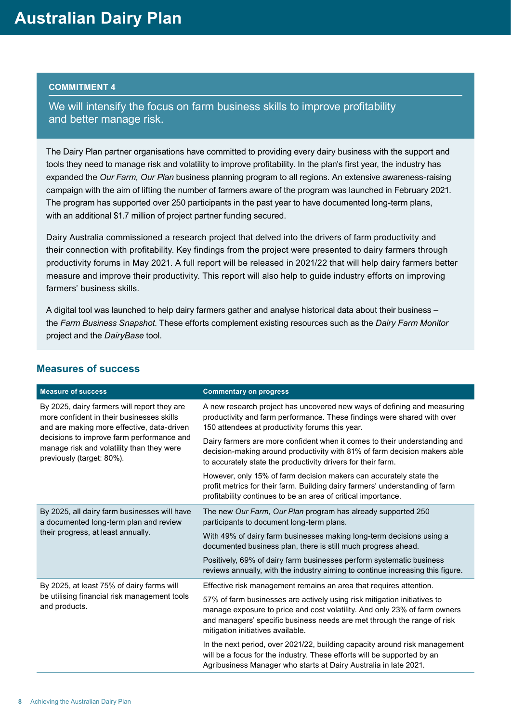We will intensify the focus on farm business skills to improve profitability and better manage risk.

The Dairy Plan partner organisations have committed to providing every dairy business with the support and tools they need to manage risk and volatility to improve profitability. In the plan's first year, the industry has expanded the *Our Farm, Our Plan* business planning program to all regions. An extensive awareness-raising campaign with the aim of lifting the number of farmers aware of the program was launched in February 2021. The program has supported over 250 participants in the past year to have documented long-term plans, with an additional \$1.7 million of project partner funding secured.

Dairy Australia commissioned a research project that delved into the drivers of farm productivity and their connection with profitability. Key findings from the project were presented to dairy farmers through productivity forums in May 2021. A full report will be released in 2021/22 that will help dairy farmers better measure and improve their productivity. This report will also help to guide industry efforts on improving farmers' business skills.

A digital tool was launched to help dairy farmers gather and analyse historical data about their business – the *Farm Business Snapshot*. These efforts complement existing resources such as the *Dairy Farm Monitor* project and the *DairyBase* tool.

| <b>Measure of success</b>                                                                                                                                                                                                                                     | <b>Commentary on progress</b>                                                                                                                                                                                                                                         |
|---------------------------------------------------------------------------------------------------------------------------------------------------------------------------------------------------------------------------------------------------------------|-----------------------------------------------------------------------------------------------------------------------------------------------------------------------------------------------------------------------------------------------------------------------|
| By 2025, dairy farmers will report they are<br>more confident in their businesses skills<br>and are making more effective, data-driven<br>decisions to improve farm performance and<br>manage risk and volatility than they were<br>previously (target: 80%). | A new research project has uncovered new ways of defining and measuring<br>productivity and farm performance. These findings were shared with over<br>150 attendees at productivity forums this year.                                                                 |
|                                                                                                                                                                                                                                                               | Dairy farmers are more confident when it comes to their understanding and<br>decision-making around productivity with 81% of farm decision makers able<br>to accurately state the productivity drivers for their farm.                                                |
|                                                                                                                                                                                                                                                               | However, only 15% of farm decision makers can accurately state the<br>profit metrics for their farm. Building dairy farmers' understanding of farm<br>profitability continues to be an area of critical importance.                                                   |
| By 2025, all dairy farm businesses will have<br>a documented long-term plan and review<br>their progress, at least annually.                                                                                                                                  | The new Our Farm, Our Plan program has already supported 250<br>participants to document long-term plans.                                                                                                                                                             |
|                                                                                                                                                                                                                                                               | With 49% of dairy farm businesses making long-term decisions using a<br>documented business plan, there is still much progress ahead.                                                                                                                                 |
|                                                                                                                                                                                                                                                               | Positively, 69% of dairy farm businesses perform systematic business<br>reviews annually, with the industry aiming to continue increasing this figure.                                                                                                                |
| By 2025, at least 75% of dairy farms will<br>be utilising financial risk management tools<br>and products.                                                                                                                                                    | Effective risk management remains an area that requires attention.                                                                                                                                                                                                    |
|                                                                                                                                                                                                                                                               | 57% of farm businesses are actively using risk mitigation initiatives to<br>manage exposure to price and cost volatility. And only 23% of farm owners<br>and managers' specific business needs are met through the range of risk<br>mitigation initiatives available. |
|                                                                                                                                                                                                                                                               | In the next period, over 2021/22, building capacity around risk management<br>will be a focus for the industry. These efforts will be supported by an<br>Agribusiness Manager who starts at Dairy Australia in late 2021.                                             |

#### **Measures of success**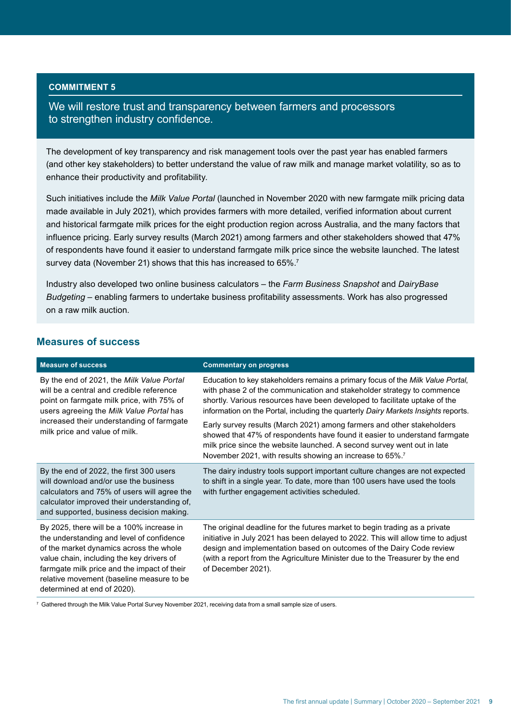#### We will restore trust and transparency between farmers and processors to strengthen industry confidence.

The development of key transparency and risk management tools over the past year has enabled farmers (and other key stakeholders) to better understand the value of raw milk and manage market volatility, so as to enhance their productivity and profitability.

Such initiatives include the *Milk Value Portal* (launched in November 2020 with new farmgate milk pricing data made available in July 2021), which provides farmers with more detailed, verified information about current and historical farmgate milk prices for the eight production region across Australia, and the many factors that influence pricing. Early survey results (March 2021) among farmers and other stakeholders showed that 47% of respondents have found it easier to understand farmgate milk price since the website launched. The latest survey data (November 21) shows that this has increased to 65%.<sup>7</sup>

Industry also developed two online business calculators – the *Farm Business Snapshot* and *DairyBase Budgeting* – enabling farmers to undertake business profitability assessments. Work has also progressed on a raw milk auction.

#### **Measures of success**

| <b>Measure of success</b>                                                                                                                                                                                                                                                                                 | <b>Commentary on progress</b>                                                                                                                                                                                                                                                                                                                |
|-----------------------------------------------------------------------------------------------------------------------------------------------------------------------------------------------------------------------------------------------------------------------------------------------------------|----------------------------------------------------------------------------------------------------------------------------------------------------------------------------------------------------------------------------------------------------------------------------------------------------------------------------------------------|
| By the end of 2021, the Milk Value Portal<br>will be a central and credible reference<br>point on farmgate milk price, with 75% of<br>users agreeing the Milk Value Portal has<br>increased their understanding of farmgate<br>milk price and value of milk.                                              | Education to key stakeholders remains a primary focus of the Milk Value Portal,<br>with phase 2 of the communication and stakeholder strategy to commence<br>shortly. Various resources have been developed to facilitate uptake of the<br>information on the Portal, including the quarterly Dairy Markets Insights reports.                |
|                                                                                                                                                                                                                                                                                                           | Early survey results (March 2021) among farmers and other stakeholders<br>showed that 47% of respondents have found it easier to understand farmgate<br>milk price since the website launched. A second survey went out in late<br>November 2021, with results showing an increase to 65%. <sup>7</sup>                                      |
| By the end of 2022, the first 300 users<br>will download and/or use the business<br>calculators and 75% of users will agree the<br>calculator improved their understanding of,<br>and supported, business decision making.                                                                                | The dairy industry tools support important culture changes are not expected<br>to shift in a single year. To date, more than 100 users have used the tools<br>with further engagement activities scheduled.                                                                                                                                  |
| By 2025, there will be a 100% increase in<br>the understanding and level of confidence<br>of the market dynamics across the whole<br>value chain, including the key drivers of<br>farmgate milk price and the impact of their<br>relative movement (baseline measure to be<br>determined at end of 2020). | The original deadline for the futures market to begin trading as a private<br>initiative in July 2021 has been delayed to 2022. This will allow time to adjust<br>design and implementation based on outcomes of the Dairy Code review<br>(with a report from the Agriculture Minister due to the Treasurer by the end<br>of December 2021). |

<sup>7</sup> Gathered through the Milk Value Portal Survey November 2021, receiving data from a small sample size of users.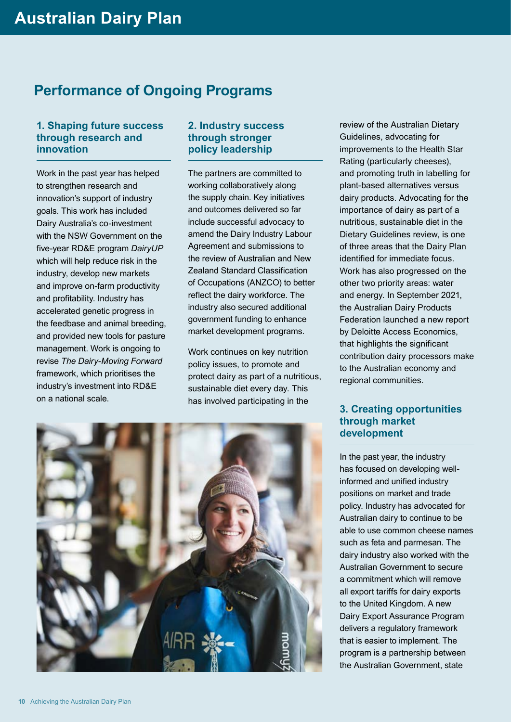### **Performance of Ongoing Programs**

#### **1. Shaping future success through research and innovation**

Work in the past year has helped to strengthen research and innovation's support of industry goals. This work has included Dairy Australia's co-investment with the NSW Government on the five-year RD&E program *DairyUP* which will help reduce risk in the industry, develop new markets and improve on-farm productivity and profitability. Industry has accelerated genetic progress in the feedbase and animal breeding, and provided new tools for pasture management. Work is ongoing to revise *The Dairy-Moving Forward*  framework, which prioritises the industry's investment into RD&E on a national scale.

#### **2. Industry success through stronger policy leadership**

The partners are committed to working collaboratively along the supply chain. Key initiatives and outcomes delivered so far include successful advocacy to amend the Dairy Industry Labour Agreement and submissions to the review of Australian and New Zealand Standard Classification of Occupations (ANZCO) to better reflect the dairy workforce. The industry also secured additional government funding to enhance market development programs.

Work continues on key nutrition policy issues, to promote and protect dairy as part of a nutritious, sustainable diet every day. This has involved participating in the



review of the Australian Dietary Guidelines, advocating for improvements to the Health Star Rating (particularly cheeses), and promoting truth in labelling for plant-based alternatives versus dairy products. Advocating for the importance of dairy as part of a nutritious, sustainable diet in the Dietary Guidelines review, is one of three areas that the Dairy Plan identified for immediate focus. Work has also progressed on the other two priority areas: water and energy. In September 2021, the Australian Dairy Products Federation launched a new report by Deloitte Access Economics, that highlights the significant contribution dairy processors make to the Australian economy and regional communities.

#### **3. Creating opportunities through market development**

In the past year, the industry has focused on developing wellinformed and unified industry positions on market and trade policy. Industry has advocated for Australian dairy to continue to be able to use common cheese names such as feta and parmesan. The dairy industry also worked with the Australian Government to secure a commitment which will remove all export tariffs for dairy exports to the United Kingdom. A new Dairy Export Assurance Program delivers a regulatory framework that is easier to implement. The program is a partnership between the Australian Government, state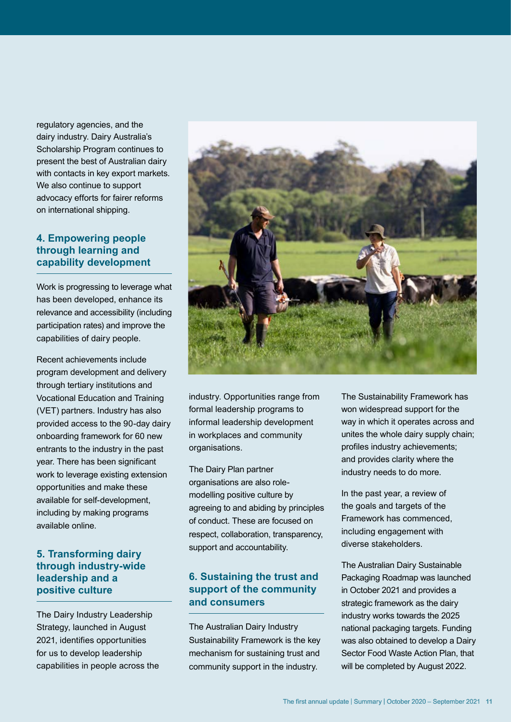regulatory agencies, and the dairy industry. Dairy Australia's Scholarship Program continues to present the best of Australian dairy with contacts in key export markets. We also continue to support advocacy efforts for fairer reforms on international shipping.

#### **4. Empowering people through learning and capability development**

Work is progressing to leverage what has been developed, enhance its relevance and accessibility (including participation rates) and improve the capabilities of dairy people.

Recent achievements include program development and delivery through tertiary institutions and Vocational Education and Training (VET) partners. Industry has also provided access to the 90-day dairy onboarding framework for 60 new entrants to the industry in the past year. There has been significant work to leverage existing extension opportunities and make these available for self-development, including by making programs available online.

#### **5. Transforming dairy through industry-wide leadership and a positive culture**

The Dairy Industry Leadership Strategy, launched in August 2021, identifies opportunities for us to develop leadership capabilities in people across the



industry. Opportunities range from formal leadership programs to informal leadership development in workplaces and community organisations.

The Dairy Plan partner organisations are also rolemodelling positive culture by agreeing to and abiding by principles of conduct. These are focused on respect, collaboration, transparency, support and accountability.

### **6. Sustaining the trust and support of the community and consumers**

The Australian Dairy Industry Sustainability Framework is the key mechanism for sustaining trust and community support in the industry.

The Sustainability Framework has won widespread support for the way in which it operates across and unites the whole dairy supply chain; profiles industry achievements; and provides clarity where the industry needs to do more.

In the past year, a review of the goals and targets of the Framework has commenced, including engagement with diverse stakeholders.

The Australian Dairy Sustainable Packaging Roadmap was launched in October 2021 and provides a strategic framework as the dairy industry works towards the 2025 national packaging targets. Funding was also obtained to develop a Dairy Sector Food Waste Action Plan, that will be completed by August 2022.